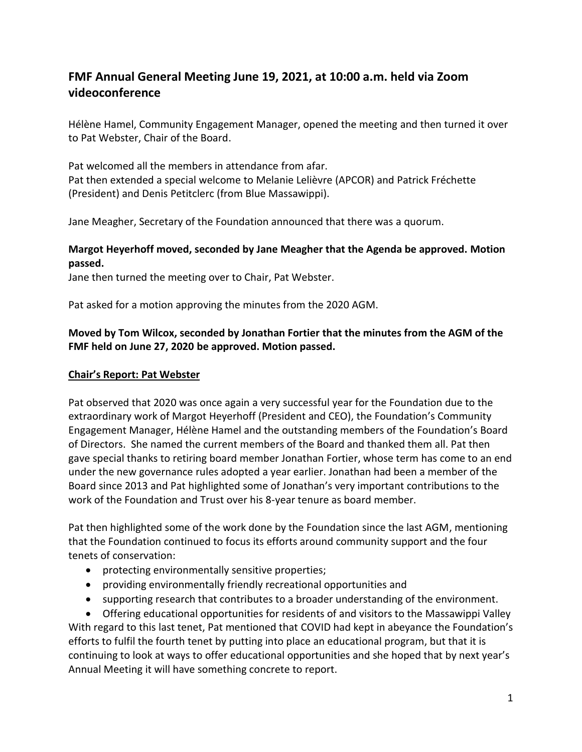# **FMF Annual General Meeting June 19, 2021, at 10:00 a.m. held via Zoom videoconference**

Hélène Hamel, Community Engagement Manager, opened the meeting and then turned it over to Pat Webster, Chair of the Board.

Pat welcomed all the members in attendance from afar. Pat then extended a special welcome to Melanie Lelièvre (APCOR) and Patrick Fréchette (President) and Denis Petitclerc (from Blue Massawippi).

Jane Meagher, Secretary of the Foundation announced that there was a quorum.

## **Margot Heyerhoff moved, seconded by Jane Meagher that the Agenda be approved. Motion passed.**

Jane then turned the meeting over to Chair, Pat Webster.

Pat asked for a motion approving the minutes from the 2020 AGM.

## **Moved by Tom Wilcox, seconded by Jonathan Fortier that the minutes from the AGM of the FMF held on June 27, 2020 be approved. Motion passed.**

#### **Chair's Report: Pat Webster**

Pat observed that 2020 was once again a very successful year for the Foundation due to the extraordinary work of Margot Heyerhoff (President and CEO), the Foundation's Community Engagement Manager, Hélène Hamel and the outstanding members of the Foundation's Board of Directors. She named the current members of the Board and thanked them all. Pat then gave special thanks to retiring board member Jonathan Fortier, whose term has come to an end under the new governance rules adopted a year earlier. Jonathan had been a member of the Board since 2013 and Pat highlighted some of Jonathan's very important contributions to the work of the Foundation and Trust over his 8-year tenure as board member.

Pat then highlighted some of the work done by the Foundation since the last AGM, mentioning that the Foundation continued to focus its efforts around community support and the four tenets of conservation:

- **•** protecting environmentally sensitive properties;
- providing environmentally friendly recreational opportunities and
- supporting research that contributes to a broader understanding of the environment.

 Offering educational opportunities for residents of and visitors to the Massawippi Valley With regard to this last tenet, Pat mentioned that COVID had kept in abeyance the Foundation's efforts to fulfil the fourth tenet by putting into place an educational program, but that it is continuing to look at ways to offer educational opportunities and she hoped that by next year's Annual Meeting it will have something concrete to report.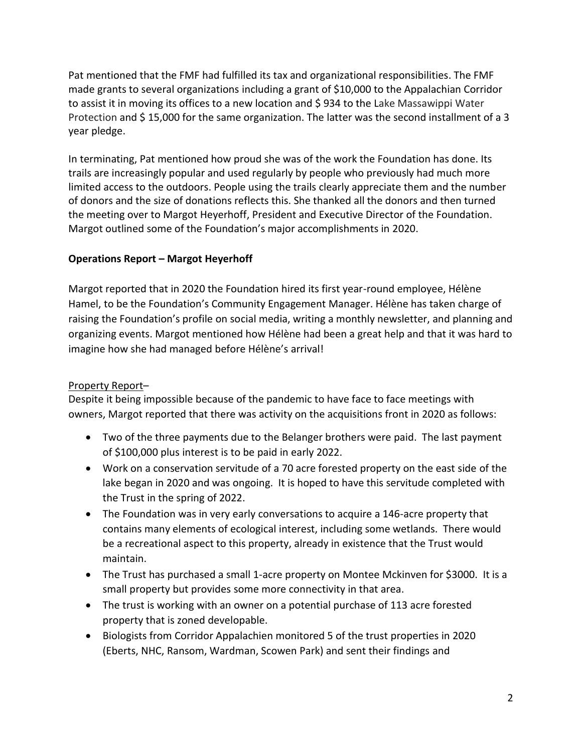Pat mentioned that the FMF had fulfilled its tax and organizational responsibilities. The FMF made grants to several organizations including a grant of \$10,000 to the Appalachian Corridor to assist it in moving its offices to a new location and \$ 934 to the Lake Massawippi Water Protection and \$ 15,000 for the same organization. The latter was the second installment of a 3 year pledge.

In terminating, Pat mentioned how proud she was of the work the Foundation has done. Its trails are increasingly popular and used regularly by people who previously had much more limited access to the outdoors. People using the trails clearly appreciate them and the number of donors and the size of donations reflects this. She thanked all the donors and then turned the meeting over to Margot Heyerhoff, President and Executive Director of the Foundation. Margot outlined some of the Foundation's major accomplishments in 2020.

## **Operations Report – Margot Heyerhoff**

Margot reported that in 2020 the Foundation hired its first year-round employee, Hélène Hamel, to be the Foundation's Community Engagement Manager. Hélène has taken charge of raising the Foundation's profile on social media, writing a monthly newsletter, and planning and organizing events. Margot mentioned how Hélène had been a great help and that it was hard to imagine how she had managed before Hélène's arrival!

## Property Report–

Despite it being impossible because of the pandemic to have face to face meetings with owners, Margot reported that there was activity on the acquisitions front in 2020 as follows:

- Two of the three payments due to the Belanger brothers were paid. The last payment of \$100,000 plus interest is to be paid in early 2022.
- Work on a conservation servitude of a 70 acre forested property on the east side of the lake began in 2020 and was ongoing. It is hoped to have this servitude completed with the Trust in the spring of 2022.
- The Foundation was in very early conversations to acquire a 146-acre property that contains many elements of ecological interest, including some wetlands. There would be a recreational aspect to this property, already in existence that the Trust would maintain.
- The Trust has purchased a small 1-acre property on Montee Mckinven for \$3000. It is a small property but provides some more connectivity in that area.
- The trust is working with an owner on a potential purchase of 113 acre forested property that is zoned developable.
- Biologists from Corridor Appalachien monitored 5 of the trust properties in 2020 (Eberts, NHC, Ransom, Wardman, Scowen Park) and sent their findings and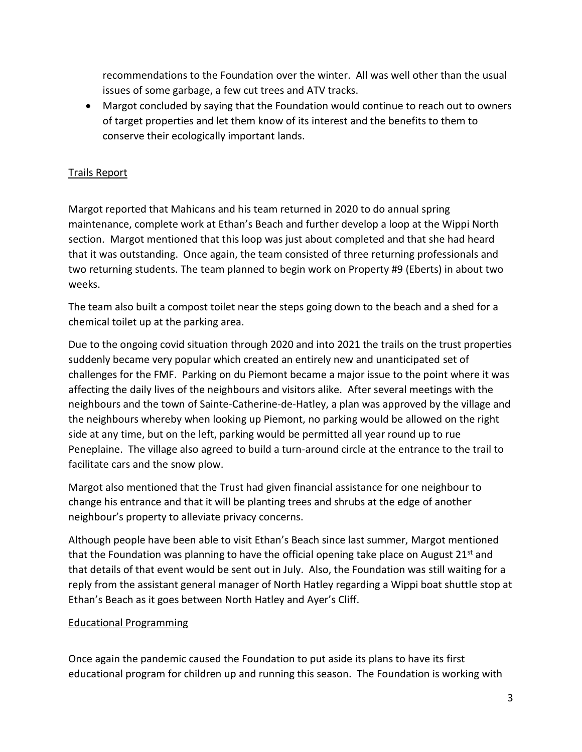recommendations to the Foundation over the winter. All was well other than the usual issues of some garbage, a few cut trees and ATV tracks.

 Margot concluded by saying that the Foundation would continue to reach out to owners of target properties and let them know of its interest and the benefits to them to conserve their ecologically important lands.

## Trails Report

Margot reported that Mahicans and his team returned in 2020 to do annual spring maintenance, complete work at Ethan's Beach and further develop a loop at the Wippi North section. Margot mentioned that this loop was just about completed and that she had heard that it was outstanding. Once again, the team consisted of three returning professionals and two returning students. The team planned to begin work on Property #9 (Eberts) in about two weeks.

The team also built a compost toilet near the steps going down to the beach and a shed for a chemical toilet up at the parking area.

Due to the ongoing covid situation through 2020 and into 2021 the trails on the trust properties suddenly became very popular which created an entirely new and unanticipated set of challenges for the FMF. Parking on du Piemont became a major issue to the point where it was affecting the daily lives of the neighbours and visitors alike. After several meetings with the neighbours and the town of Sainte-Catherine-de-Hatley, a plan was approved by the village and the neighbours whereby when looking up Piemont, no parking would be allowed on the right side at any time, but on the left, parking would be permitted all year round up to rue Peneplaine. The village also agreed to build a turn-around circle at the entrance to the trail to facilitate cars and the snow plow.

Margot also mentioned that the Trust had given financial assistance for one neighbour to change his entrance and that it will be planting trees and shrubs at the edge of another neighbour's property to alleviate privacy concerns.

Although people have been able to visit Ethan's Beach since last summer, Margot mentioned that the Foundation was planning to have the official opening take place on August 21st and that details of that event would be sent out in July. Also, the Foundation was still waiting for a reply from the assistant general manager of North Hatley regarding a Wippi boat shuttle stop at Ethan's Beach as it goes between North Hatley and Ayer's Cliff.

## Educational Programming

Once again the pandemic caused the Foundation to put aside its plans to have its first educational program for children up and running this season. The Foundation is working with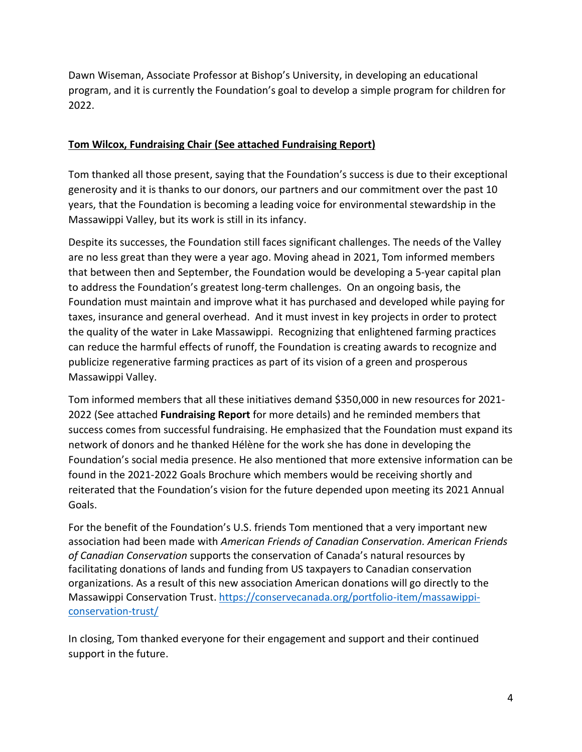Dawn Wiseman, Associate Professor at Bishop's University, in developing an educational program, and it is currently the Foundation's goal to develop a simple program for children for 2022.

## **Tom Wilcox, Fundraising Chair (See attached Fundraising Report)**

Tom thanked all those present, saying that the Foundation's success is due to their exceptional generosity and it is thanks to our donors, our partners and our commitment over the past 10 years, that the Foundation is becoming a leading voice for environmental stewardship in the Massawippi Valley, but its work is still in its infancy.

Despite its successes, the Foundation still faces significant challenges. The needs of the Valley are no less great than they were a year ago. Moving ahead in 2021, Tom informed members that between then and September, the Foundation would be developing a 5-year capital plan to address the Foundation's greatest long-term challenges. On an ongoing basis, the Foundation must maintain and improve what it has purchased and developed while paying for taxes, insurance and general overhead. And it must invest in key projects in order to protect the quality of the water in Lake Massawippi. Recognizing that enlightened farming practices can reduce the harmful effects of runoff, the Foundation is creating awards to recognize and publicize regenerative farming practices as part of its vision of a green and prosperous Massawippi Valley.

Tom informed members that all these initiatives demand \$350,000 in new resources for 2021- 2022 (See attached **Fundraising Report** for more details) and he reminded members that success comes from successful fundraising. He emphasized that the Foundation must expand its network of donors and he thanked Hélène for the work she has done in developing the Foundation's social media presence. He also mentioned that more extensive information can be found in the 2021-2022 Goals Brochure which members would be receiving shortly and reiterated that the Foundation's vision for the future depended upon meeting its 2021 Annual Goals.

For the benefit of the Foundation's U.S. friends Tom mentioned that a very important new association had been made with *American Friends of Canadian Conservation. American Friends of Canadian Conservation* supports the conservation of Canada's natural resources by facilitating donations of lands and funding from US taxpayers to Canadian conservation organizations. As a result of this new association American donations will go directly to the Massawippi Conservation Trust. [https://conservecanada.org/portfolio-item/massawippi](https://conservecanada.org/portfolio-item/massawippi-conservation-trust/)[conservation-trust/](https://conservecanada.org/portfolio-item/massawippi-conservation-trust/)

In closing, Tom thanked everyone for their engagement and support and their continued support in the future.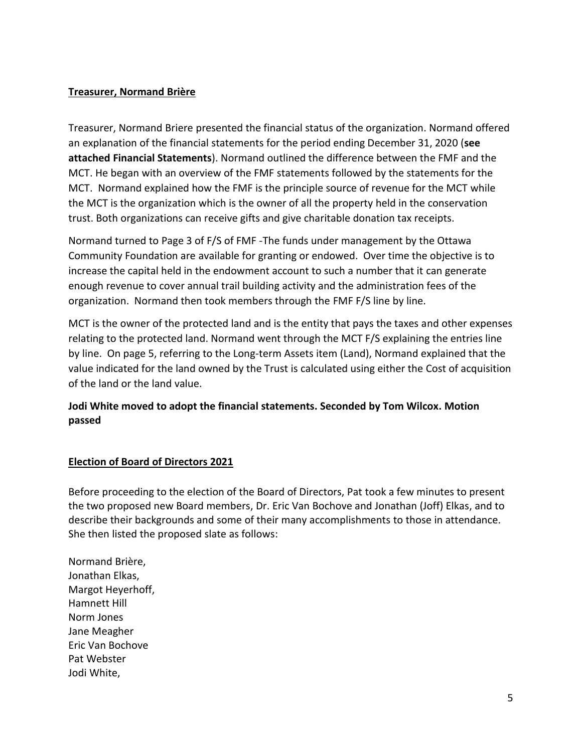## **Treasurer, Normand Brière**

Treasurer, Normand Briere presented the financial status of the organization. Normand offered an explanation of the financial statements for the period ending December 31, 2020 (**see attached Financial Statements**). Normand outlined the difference between the FMF and the MCT. He began with an overview of the FMF statements followed by the statements for the MCT. Normand explained how the FMF is the principle source of revenue for the MCT while the MCT is the organization which is the owner of all the property held in the conservation trust. Both organizations can receive gifts and give charitable donation tax receipts.

Normand turned to Page 3 of F/S of FMF -The funds under management by the Ottawa Community Foundation are available for granting or endowed. Over time the objective is to increase the capital held in the endowment account to such a number that it can generate enough revenue to cover annual trail building activity and the administration fees of the organization. Normand then took members through the FMF F/S line by line.

MCT is the owner of the protected land and is the entity that pays the taxes and other expenses relating to the protected land. Normand went through the MCT F/S explaining the entries line by line. On page 5, referring to the Long-term Assets item (Land), Normand explained that the value indicated for the land owned by the Trust is calculated using either the Cost of acquisition of the land or the land value.

## **Jodi White moved to adopt the financial statements. Seconded by Tom Wilcox. Motion passed**

## **Election of Board of Directors 2021**

Before proceeding to the election of the Board of Directors, Pat took a few minutes to present the two proposed new Board members, Dr. Eric Van Bochove and Jonathan (Joff) Elkas, and to describe their backgrounds and some of their many accomplishments to those in attendance. She then listed the proposed slate as follows:

Normand Brière, Jonathan Elkas, Margot Heyerhoff, Hamnett Hill Norm Jones Jane Meagher Eric Van Bochove Pat Webster Jodi White,